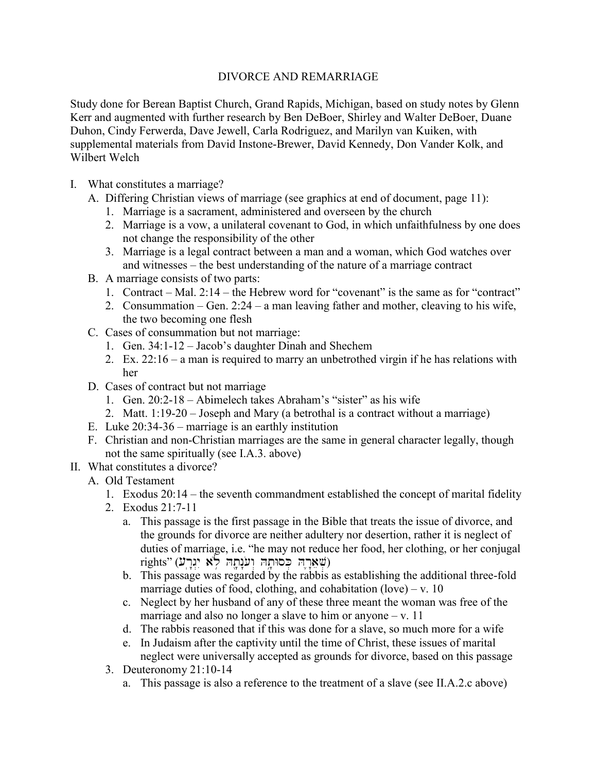## DIVORCE AND REMARRIAGE

Study done for Berean Baptist Church, Grand Rapids, Michigan, based on study notes by Glenn Kerr and augmented with further research by Ben DeBoer, Shirley and Walter DeBoer, Duane Duhon, Cindy Ferwerda, Dave Jewell, Carla Rodriguez, and Marilyn van Kuiken, with supplemental materials from David Instone-Brewer, David Kennedy, Don Vander Kolk, and Wilbert Welch

- I. What constitutes a marriage?
	- A. Differing Christian views of marriage (see graphics at end of document, page 11):
		- 1. Marriage is a sacrament, administered and overseen by the church
		- 2. Marriage is a vow, a unilateral covenant to God, in which unfaithfulness by one does not change the responsibility of the other
		- 3. Marriage is a legal contract between a man and a woman, which God watches over and witnesses – the best understanding of the nature of a marriage contract
	- B. A marriage consists of two parts:
		- 1. Contract Mal. 2:14 the Hebrew word for "covenant" is the same as for "contract"
		- 2. Consummation Gen. 2:24 a man leaving father and mother, cleaving to his wife, the two becoming one flesh
	- C. Cases of consummation but not marriage:
		- 1. Gen. 34:1-12 Jacob's daughter Dinah and Shechem
		- 2. Ex. 22:16 a man is required to marry an unbetrothed virgin if he has relations with her
	- D. Cases of contract but not marriage
		- 1. Gen. 20:2-18 Abimelech takes Abraham's "sister" as his wife
		- 2. Matt. 1:19-20 Joseph and Mary (a betrothal is a contract without a marriage)
	- E. Luke 20:34-36 marriage is an earthly institution
	- F. Christian and non-Christian marriages are the same in general character legally, though not the same spiritually (see I.A.3. above)
- II. What constitutes a divorce?
	- A. Old Testament
		- 1. Exodus 20:14 the seventh commandment established the concept of marital fidelity
		- 2. Exodus 21:7-11
			- a. This passage is the first passage in the Bible that treats the issue of divorce, and the grounds for divorce are neither adultery nor desertion, rather it is neglect of duties of marriage, i.e. "he may not reduce her food, her clothing, or her conjugal  $rights"$  (שארה כסותה וענתה לא יגרע)
			- b. This passage was regarded by the rabbis as establishing the additional three-fold marriage duties of food, clothing, and cohabitation (love) – v. 10
			- c. Neglect by her husband of any of these three meant the woman was free of the marriage and also no longer a slave to him or anyone  $-v$ . 11
			- d. The rabbis reasoned that if this was done for a slave, so much more for a wife
			- e. In Judaism after the captivity until the time of Christ, these issues of marital neglect were universally accepted as grounds for divorce, based on this passage
		- 3. Deuteronomy 21:10-14
			- a. This passage is also a reference to the treatment of a slave (see II.A.2.c above)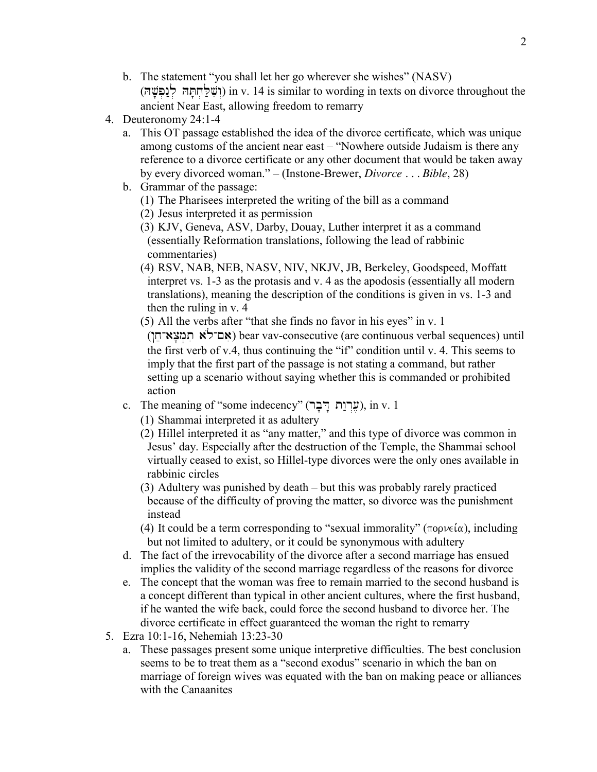- b. The statement "you shall let her go wherever she wishes" (NASV) (וֹשׁלְחתּה לנפּשׁה) in v. 14 is similar to wording in texts on divorce throughout the ancient Near East, allowing freedom to remarry
- 4. Deuteronomy 24:1-4
	- a. This OT passage established the idea of the divorce certificate, which was unique among customs of the ancient near east – "Nowhere outside Judaism is there any reference to a divorce certificate or any other document that would be taken away by every divorced woman." – (Instone-Brewer, *Divorce . . . Bible*, 28)
	- b. Grammar of the passage:
		- (1) The Pharisees interpreted the writing of the bill as a command
		- (2) Jesus interpreted it as permission
		- (3) KJV, Geneva, ASV, Darby, Douay, Luther interpret it as a command (essentially Reformation translations, following the lead of rabbinic commentaries)
		- (4) RSV, NAB, NEB, NASV, NIV, NKJV, JB, Berkeley, Goodspeed, Moffatt interpret vs. 1-3 as the protasis and v. 4 as the apodosis (essentially all modern translations), meaning the description of the conditions is given in vs. 1-3 and then the ruling in v. 4
		- (5) All the verbs after "that she finds no favor in his eyes" in v. 1

(אם־לא תמצא־חן) bear vav-consecutive (are continuous verbal sequences) until the first verb of v.4, thus continuing the "if" condition until v. 4. This seems to imply that the first part of the passage is not stating a command, but rather setting up a scenario without saying whether this is commanded or prohibited action

- c. The meaning of "some indecency" (עֵרְוַת יִדְבָר), in v. 1
	- (1) Shammai interpreted it as adultery
	- (2) Hillel interpreted it as "any matter," and this type of divorce was common in Jesus' day. Especially after the destruction of the Temple, the Shammai school virtually ceased to exist, so Hillel-type divorces were the only ones available in rabbinic circles
	- (3) Adultery was punished by death but this was probably rarely practiced because of the difficulty of proving the matter, so divorce was the punishment instead
	- (4) It could be a term corresponding to "sexual immorality" ( $\pi$ opv $\epsilon \alpha$ ), including but not limited to adultery, or it could be synonymous with adultery
- d. The fact of the irrevocability of the divorce after a second marriage has ensued implies the validity of the second marriage regardless of the reasons for divorce
- e. The concept that the woman was free to remain married to the second husband is a concept different than typical in other ancient cultures, where the first husband, if he wanted the wife back, could force the second husband to divorce her. The divorce certificate in effect guaranteed the woman the right to remarry
- 5. Ezra 10:1-16, Nehemiah 13:23-30
	- a. These passages present some unique interpretive difficulties. The best conclusion seems to be to treat them as a "second exodus" scenario in which the ban on marriage of foreign wives was equated with the ban on making peace or alliances with the Canaanites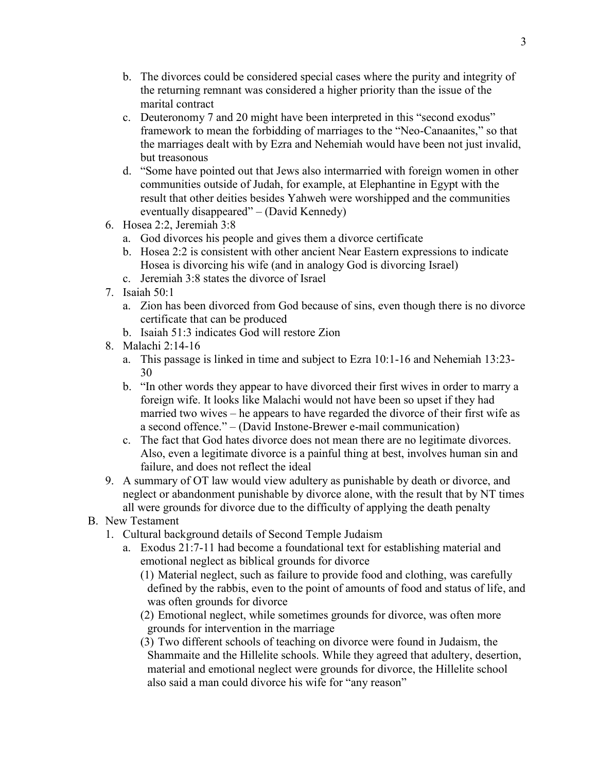- b. The divorces could be considered special cases where the purity and integrity of the returning remnant was considered a higher priority than the issue of the marital contract
- c. Deuteronomy 7 and 20 might have been interpreted in this "second exodus" framework to mean the forbidding of marriages to the "Neo-Canaanites," so that the marriages dealt with by Ezra and Nehemiah would have been not just invalid, but treasonous
- d. "Some have pointed out that Jews also intermarried with foreign women in other communities outside of Judah, for example, at Elephantine in Egypt with the result that other deities besides Yahweh were worshipped and the communities eventually disappeared" – (David Kennedy)
- 6. Hosea 2:2, Jeremiah 3:8
	- a. God divorces his people and gives them a divorce certificate
	- b. Hosea 2:2 is consistent with other ancient Near Eastern expressions to indicate Hosea is divorcing his wife (and in analogy God is divorcing Israel)
	- c. Jeremiah 3:8 states the divorce of Israel
- 7 Isaiah  $50 \cdot 1$ 
	- a. Zion has been divorced from God because of sins, even though there is no divorce certificate that can be produced
	- b. Isaiah 51:3 indicates God will restore Zion
- 8. Malachi 2:14-16
	- a. This passage is linked in time and subject to Ezra 10:1-16 and Nehemiah 13:23- 30
	- b. "In other words they appear to have divorced their first wives in order to marry a foreign wife. It looks like Malachi would not have been so upset if they had married two wives – he appears to have regarded the divorce of their first wife as a second offence." – (David Instone-Brewer e-mail communication)
	- c. The fact that God hates divorce does not mean there are no legitimate divorces. Also, even a legitimate divorce is a painful thing at best, involves human sin and failure, and does not reflect the ideal
- 9. A summary of OT law would view adultery as punishable by death or divorce, and neglect or abandonment punishable by divorce alone, with the result that by NT times all were grounds for divorce due to the difficulty of applying the death penalty
- B. New Testament
	- 1. Cultural background details of Second Temple Judaism
		- a. Exodus 21:7-11 had become a foundational text for establishing material and emotional neglect as biblical grounds for divorce
			- (1) Material neglect, such as failure to provide food and clothing, was carefully defined by the rabbis, even to the point of amounts of food and status of life, and was often grounds for divorce
			- (2) Emotional neglect, while sometimes grounds for divorce, was often more grounds for intervention in the marriage
			- (3) Two different schools of teaching on divorce were found in Judaism, the Shammaite and the Hillelite schools. While they agreed that adultery, desertion, material and emotional neglect were grounds for divorce, the Hillelite school also said a man could divorce his wife for "any reason"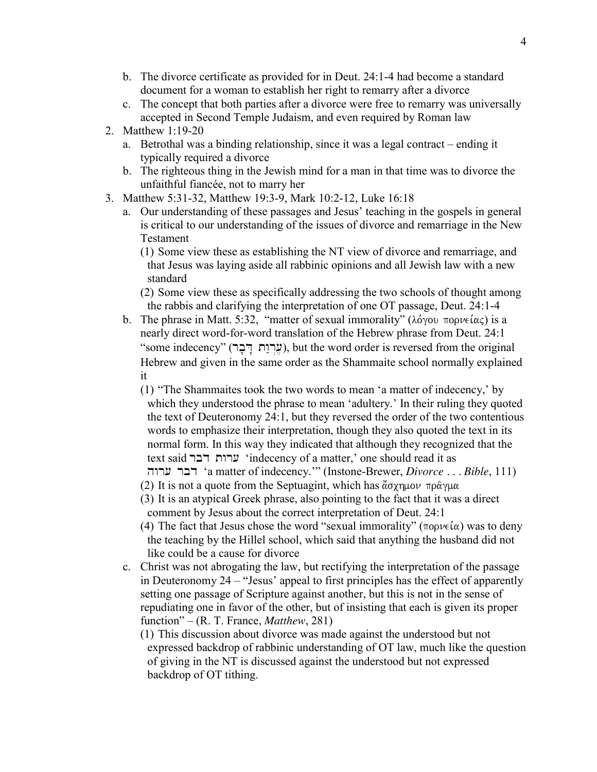- b. The divorce certificate as provided for in Deut. 24:1-4 had become a standard document for a woman to establish her right to remarry after a divorce
- c. The concept that both parties after a divorce were free to remarry was universally accepted in Second Temple Judaism, and even required by Roman law
- 2. Matthew 1:19-20
	- a. Betrothal was a binding relationship, since it was a legal contract ending it typically required a divorce
	- b. The righteous thing in the Jewish mind for a man in that time was to divorce the unfaithful fiancée, not to marry her
- 3. Matthew 5:31-32, Matthew 19:3-9, Mark 10:2-12, Luke 16:18
	- a. Our understanding of these passages and Jesus' teaching in the gospels in general is critical to our understanding of the issues of divorce and remarriage in the New Testament

(1) Some view these as establishing the NT view of divorce and remarriage, and that Jesus was laying aside all rabbinic opinions and all Jewish law with a new standard

(2) Some view these as specifically addressing the two schools of thought among the rabbis and clarifying the interpretation of one OT passage, Deut. 24:1-4

- b. The phrase in Matt. 5:32, "matter of sexual immorality" ( $\lambda$ óyou  $\pi$ ορνείας) is a nearly direct word-for-word translation of the Hebrew phrase from Deut. 24:1 "some indecency" (עֵרְוַת דָּבָר), but the word order is reversed from the original Hebrew and given in the same order as the Shammaite school normally explained it
	- (1) "The Shammaites took the two words to mean 'a matter of indecency,' by which they understood the phrase to mean 'adultery.' In their ruling they quoted the text of Deuteronomy 24:1, but they reversed the order of the two contentious words to emphasize their interpretation, though they also quoted the text in its normal form. In this way they indicated that although they recognized that the text said ערות דבר 'indecency of a matter,' one should read it as hwr[ rbd 'a matter of indecency.'" (Instone-Brewer, *Divorce . . . Bible*, 111)
	- (2) It is not a quote from the Septuagint, which has  $\alpha\gamma\gamma\mu\omega\pi\rho\alpha\gamma\mu\alpha$
	- (3) It is an atypical Greek phrase, also pointing to the fact that it was a direct comment by Jesus about the correct interpretation of Deut. 24:1
	- (4) The fact that Jesus chose the word "sexual immorality" ( $\pi$ opve $(\alpha)$ ) was to deny the teaching by the Hillel school, which said that anything the husband did not like could be a cause for divorce
- c. Christ was not abrogating the law, but rectifying the interpretation of the passage in Deuteronomy 24 – "Jesus' appeal to first principles has the effect of apparently setting one passage of Scripture against another, but this is not in the sense of repudiating one in favor of the other, but of insisting that each is given its proper function" – (R. T. France, *Matthew*, 281)
	- (1) This discussion about divorce was made against the understood but not expressed backdrop of rabbinic understanding of OT law, much like the question of giving in the NT is discussed against the understood but not expressed backdrop of OT tithing.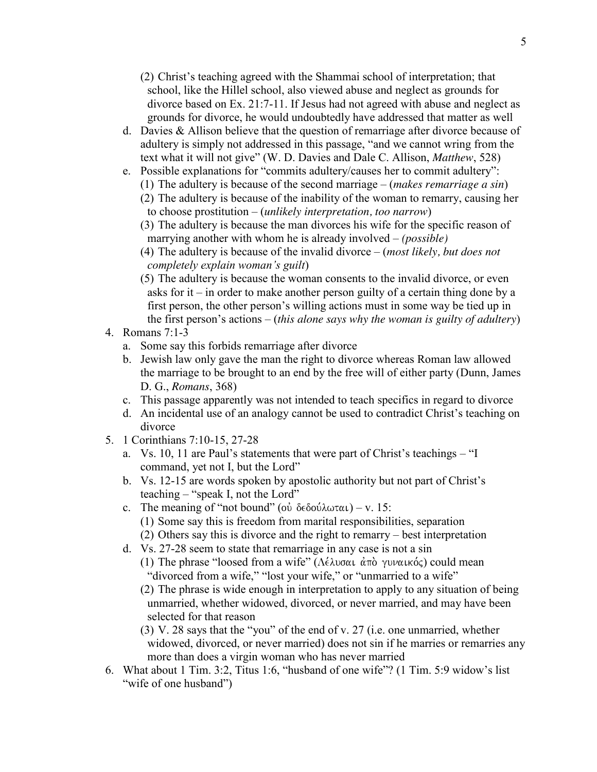- (2) Christ's teaching agreed with the Shammai school of interpretation; that school, like the Hillel school, also viewed abuse and neglect as grounds for divorce based on Ex. 21:7-11. If Jesus had not agreed with abuse and neglect as grounds for divorce, he would undoubtedly have addressed that matter as well
- d. Davies & Allison believe that the question of remarriage after divorce because of adultery is simply not addressed in this passage, "and we cannot wring from the text what it will not give" (W. D. Davies and Dale C. Allison, *Matthew*, 528)
- e. Possible explanations for "commits adultery/causes her to commit adultery":
	- (1) The adultery is because of the second marriage (*makes remarriage a sin*)
	- (2) The adultery is because of the inability of the woman to remarry, causing her to choose prostitution – (*unlikely interpretation, too narrow*)
	- (3) The adultery is because the man divorces his wife for the specific reason of marrying another with whom he is already involved – *(possible)*
	- (4) The adultery is because of the invalid divorce (*most likely, but does not completely explain woman's guilt*)
	- (5) The adultery is because the woman consents to the invalid divorce, or even asks for it – in order to make another person guilty of a certain thing done by a first person, the other person's willing actions must in some way be tied up in the first person's actions – (*this alone says why the woman is guilty of adultery*)
- 4. Romans 7:1-3
	- a. Some say this forbids remarriage after divorce
	- b. Jewish law only gave the man the right to divorce whereas Roman law allowed the marriage to be brought to an end by the free will of either party (Dunn, James D. G., *Romans*, 368)
	- c. This passage apparently was not intended to teach specifics in regard to divorce
	- d. An incidental use of an analogy cannot be used to contradict Christ's teaching on divorce
- 5. 1 Corinthians 7:10-15, 27-28
	- a. Vs. 10, 11 are Paul's statements that were part of Christ's teachings "I command, yet not I, but the Lord"
	- b. Vs. 12-15 are words spoken by apostolic authority but not part of Christ's teaching – "speak I, not the Lord"
	- c. The meaning of "not bound" (ov  $\delta \in \delta$ ov $\lambda \omega \tau \alpha \iota$ ) v. 15: (1) Some say this is freedom from marital responsibilities, separation (2) Others say this is divorce and the right to remarry – best interpretation
	- d. Vs. 27-28 seem to state that remarriage in any case is not a sin
		- (1) The phrase "loosed from a wife" (Λέλυσαι άπὸ γυναικός) could mean "divorced from a wife," "lost your wife," or "unmarried to a wife"
		- (2) The phrase is wide enough in interpretation to apply to any situation of being unmarried, whether widowed, divorced, or never married, and may have been selected for that reason
		- (3) V. 28 says that the "you" of the end of v. 27 (i.e. one unmarried, whether widowed, divorced, or never married) does not sin if he marries or remarries any more than does a virgin woman who has never married
- 6. What about 1 Tim. 3:2, Titus 1:6, "husband of one wife"? (1 Tim. 5:9 widow's list "wife of one husband")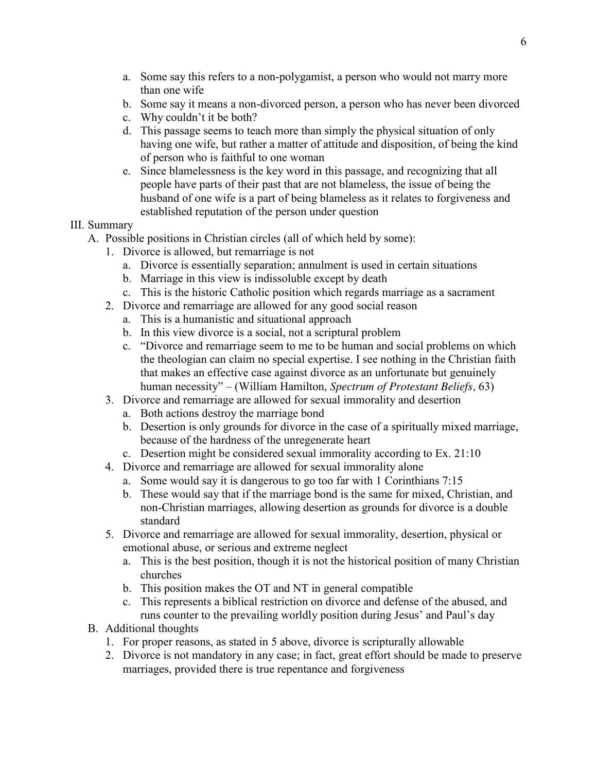- a. Some say this refers to a non-polygamist, a person who would not marry more than one wife
- b. Some say it means a non-divorced person, a person who has never been divorced
- c. Why couldn't it be both?
- d. This passage seems to teach more than simply the physical situation of only having one wife, but rather a matter of attitude and disposition, of being the kind of person who is faithful to one woman
- e. Since blamelessness is the key word in this passage, and recognizing that all people have parts of their past that are not blameless, the issue of being the husband of one wife is a part of being blameless as it relates to forgiveness and established reputation of the person under question

## III. Summary

- A. Possible positions in Christian circles (all of which held by some):
	- 1. Divorce is allowed, but remarriage is not
		- a. Divorce is essentially separation; annulment is used in certain situations
		- b. Marriage in this view is indissoluble except by death
		- c. This is the historic Catholic position which regards marriage as a sacrament
	- 2. Divorce and remarriage are allowed for any good social reason
		- a. This is a humanistic and situational approach
		- b. In this view divorce is a social, not a scriptural problem
		- c. "Divorce and remarriage seem to me to be human and social problems on which the theologian can claim no special expertise. I see nothing in the Christian faith that makes an effective case against divorce as an unfortunate but genuinely human necessity" – (William Hamilton, *Spectrum of Protestant Beliefs,* 63)
	- 3. Divorce and remarriage are allowed for sexual immorality and desertion
		- a. Both actions destroy the marriage bond
		- b. Desertion is only grounds for divorce in the case of a spiritually mixed marriage, because of the hardness of the unregenerate heart
		- c. Desertion might be considered sexual immorality according to Ex. 21:10
	- 4. Divorce and remarriage are allowed for sexual immorality alone
		- a. Some would say it is dangerous to go too far with 1 Corinthians 7:15
		- b. These would say that if the marriage bond is the same for mixed, Christian, and non-Christian marriages, allowing desertion as grounds for divorce is a double standard
	- 5. Divorce and remarriage are allowed for sexual immorality, desertion, physical or emotional abuse, or serious and extreme neglect
		- a. This is the best position, though it is not the historical position of many Christian churches
		- b. This position makes the OT and NT in general compatible
		- c. This represents a biblical restriction on divorce and defense of the abused, and runs counter to the prevailing worldly position during Jesus' and Paul's day
- B. Additional thoughts
	- 1. For proper reasons, as stated in 5 above, divorce is scripturally allowable
	- 2. Divorce is not mandatory in any case; in fact, great effort should be made to preserve marriages, provided there is true repentance and forgiveness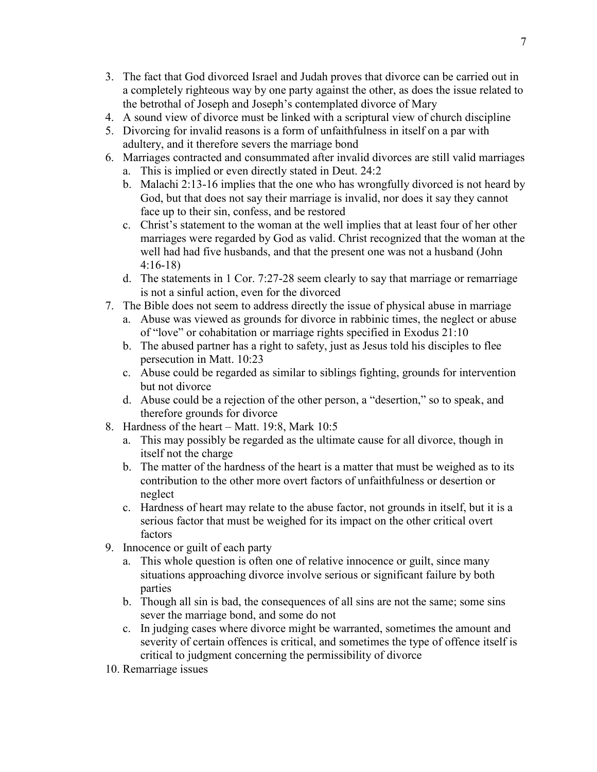- 3. The fact that God divorced Israel and Judah proves that divorce can be carried out in a completely righteous way by one party against the other, as does the issue related to the betrothal of Joseph and Joseph's contemplated divorce of Mary
- 4. A sound view of divorce must be linked with a scriptural view of church discipline
- 5. Divorcing for invalid reasons is a form of unfaithfulness in itself on a par with adultery, and it therefore severs the marriage bond
- 6. Marriages contracted and consummated after invalid divorces are still valid marriages a. This is implied or even directly stated in Deut. 24:2
	- b. Malachi 2:13-16 implies that the one who has wrongfully divorced is not heard by God, but that does not say their marriage is invalid, nor does it say they cannot face up to their sin, confess, and be restored
	- c. Christ's statement to the woman at the well implies that at least four of her other marriages were regarded by God as valid. Christ recognized that the woman at the well had had five husbands, and that the present one was not a husband (John 4:16-18)
	- d. The statements in 1 Cor. 7:27-28 seem clearly to say that marriage or remarriage is not a sinful action, even for the divorced
- 7. The Bible does not seem to address directly the issue of physical abuse in marriage
	- a. Abuse was viewed as grounds for divorce in rabbinic times, the neglect or abuse of "love" or cohabitation or marriage rights specified in Exodus 21:10
	- b. The abused partner has a right to safety, just as Jesus told his disciples to flee persecution in Matt. 10:23
	- c. Abuse could be regarded as similar to siblings fighting, grounds for intervention but not divorce
	- d. Abuse could be a rejection of the other person, a "desertion," so to speak, and therefore grounds for divorce
- 8. Hardness of the heart Matt. 19:8, Mark 10:5
	- a. This may possibly be regarded as the ultimate cause for all divorce, though in itself not the charge
	- b. The matter of the hardness of the heart is a matter that must be weighed as to its contribution to the other more overt factors of unfaithfulness or desertion or neglect
	- c. Hardness of heart may relate to the abuse factor, not grounds in itself, but it is a serious factor that must be weighed for its impact on the other critical overt factors
- 9. Innocence or guilt of each party
	- a. This whole question is often one of relative innocence or guilt, since many situations approaching divorce involve serious or significant failure by both parties
	- b. Though all sin is bad, the consequences of all sins are not the same; some sins sever the marriage bond, and some do not
	- c. In judging cases where divorce might be warranted, sometimes the amount and severity of certain offences is critical, and sometimes the type of offence itself is critical to judgment concerning the permissibility of divorce
- 10. Remarriage issues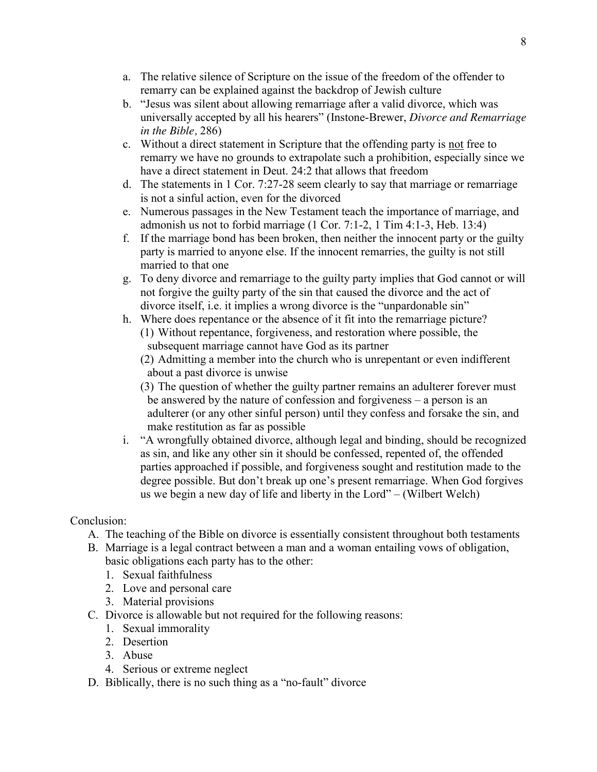- a. The relative silence of Scripture on the issue of the freedom of the offender to remarry can be explained against the backdrop of Jewish culture
- b. "Jesus was silent about allowing remarriage after a valid divorce, which was universally accepted by all his hearers" (Instone-Brewer, *Divorce and Remarriage in the Bible,* 286)
- c. Without a direct statement in Scripture that the offending party is not free to remarry we have no grounds to extrapolate such a prohibition, especially since we have a direct statement in Deut. 24:2 that allows that freedom
- d. The statements in 1 Cor. 7:27-28 seem clearly to say that marriage or remarriage is not a sinful action, even for the divorced
- e. Numerous passages in the New Testament teach the importance of marriage, and admonish us not to forbid marriage (1 Cor. 7:1-2, 1 Tim 4:1-3, Heb. 13:4)
- f. If the marriage bond has been broken, then neither the innocent party or the guilty party is married to anyone else. If the innocent remarries, the guilty is not still married to that one
- g. To deny divorce and remarriage to the guilty party implies that God cannot or will not forgive the guilty party of the sin that caused the divorce and the act of divorce itself, i.e. it implies a wrong divorce is the "unpardonable sin"
- h. Where does repentance or the absence of it fit into the remarriage picture? (1) Without repentance, forgiveness, and restoration where possible, the subsequent marriage cannot have God as its partner
	- (2) Admitting a member into the church who is unrepentant or even indifferent about a past divorce is unwise
	- (3) The question of whether the guilty partner remains an adulterer forever must be answered by the nature of confession and forgiveness – a person is an adulterer (or any other sinful person) until they confess and forsake the sin, and make restitution as far as possible
- i. "A wrongfully obtained divorce, although legal and binding, should be recognized as sin, and like any other sin it should be confessed, repented of, the offended parties approached if possible, and forgiveness sought and restitution made to the degree possible. But don't break up one's present remarriage. When God forgives us we begin a new day of life and liberty in the Lord" – (Wilbert Welch)

## Conclusion:

- A. The teaching of the Bible on divorce is essentially consistent throughout both testaments
- B. Marriage is a legal contract between a man and a woman entailing vows of obligation, basic obligations each party has to the other:
	- 1. Sexual faithfulness
	- 2. Love and personal care
	- 3. Material provisions
- C. Divorce is allowable but not required for the following reasons:
	- 1. Sexual immorality
	- 2. Desertion
	- 3. Abuse
	- 4. Serious or extreme neglect
- D. Biblically, there is no such thing as a "no-fault" divorce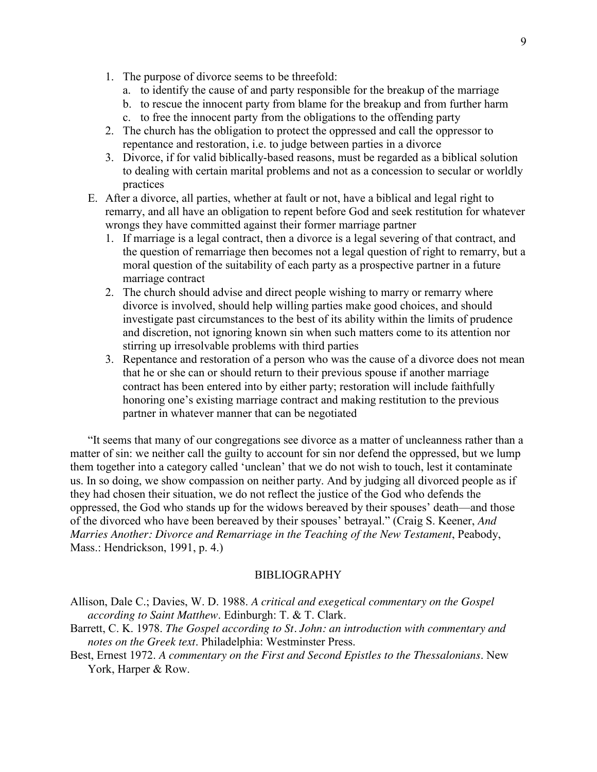- 1. The purpose of divorce seems to be threefold:
	- a. to identify the cause of and party responsible for the breakup of the marriage
	- b. to rescue the innocent party from blame for the breakup and from further harm
	- c. to free the innocent party from the obligations to the offending party
- 2. The church has the obligation to protect the oppressed and call the oppressor to repentance and restoration, i.e. to judge between parties in a divorce
- 3. Divorce, if for valid biblically-based reasons, must be regarded as a biblical solution to dealing with certain marital problems and not as a concession to secular or worldly practices
- E. After a divorce, all parties, whether at fault or not, have a biblical and legal right to remarry, and all have an obligation to repent before God and seek restitution for whatever wrongs they have committed against their former marriage partner
	- 1. If marriage is a legal contract, then a divorce is a legal severing of that contract, and the question of remarriage then becomes not a legal question of right to remarry, but a moral question of the suitability of each party as a prospective partner in a future marriage contract
	- 2. The church should advise and direct people wishing to marry or remarry where divorce is involved, should help willing parties make good choices, and should investigate past circumstances to the best of its ability within the limits of prudence and discretion, not ignoring known sin when such matters come to its attention nor stirring up irresolvable problems with third parties
	- 3. Repentance and restoration of a person who was the cause of a divorce does not mean that he or she can or should return to their previous spouse if another marriage contract has been entered into by either party; restoration will include faithfully honoring one's existing marriage contract and making restitution to the previous partner in whatever manner that can be negotiated

"It seems that many of our congregations see divorce as a matter of uncleanness rather than a matter of sin: we neither call the guilty to account for sin nor defend the oppressed, but we lump them together into a category called 'unclean' that we do not wish to touch, lest it contaminate us. In so doing, we show compassion on neither party. And by judging all divorced people as if they had chosen their situation, we do not reflect the justice of the God who defends the oppressed, the God who stands up for the widows bereaved by their spouses' death—and those of the divorced who have been bereaved by their spouses' betrayal." (Craig S. Keener, *And Marries Another: Divorce and Remarriage in the Teaching of the New Testament*, Peabody, Mass.: Hendrickson, 1991, p. 4.)

## BIBLIOGRAPHY

Allison, Dale C.; Davies, W. D. 1988. *A critical and exegetical commentary on the Gospel according to Saint Matthew*. Edinburgh: T. & T. Clark.

- Barrett, C. K. 1978. *The Gospel according to St. John: an introduction with commentary and notes on the Greek text*. Philadelphia: Westminster Press.
- Best, Ernest 1972. *A commentary on the First and Second Epistles to the Thessalonians*. New York, Harper & Row.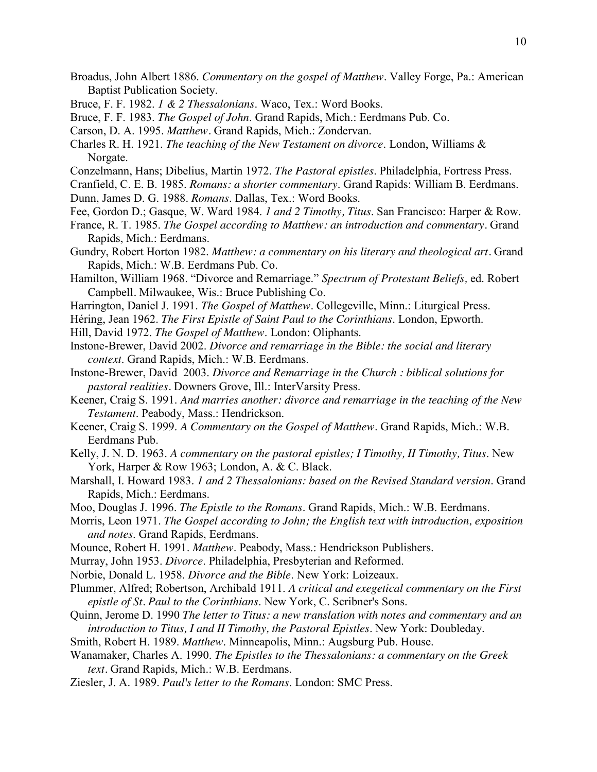- Broadus, John Albert 1886. *Commentary on the gospel of Matthew*. Valley Forge, Pa.: American Baptist Publication Society.
- Bruce, F. F. 1982. *1 & 2 Thessalonians*. Waco, Tex.: Word Books.
- Bruce, F. F. 1983. *The Gospel of John*. Grand Rapids, Mich.: Eerdmans Pub. Co.
- Carson, D. A. 1995. *Matthew.* Grand Rapids, Mich.: Zondervan.
- Charles R. H. 1921. *The teaching of the New Testament on divorce*. London, Williams & Norgate.
- Conzelmann, Hans; Dibelius, Martin 1972. *The Pastoral epistles*. Philadelphia, Fortress Press.
- Cranfield, C. E. B. 1985. *Romans: a shorter commentary*. Grand Rapids: William B. Eerdmans.
- Dunn, James D. G. 1988. *Romans*. Dallas, Tex.: Word Books.
- Fee, Gordon D.; Gasque, W. Ward 1984. *1 and 2 Timothy, Titus*. San Francisco: Harper & Row.
- France, R. T. 1985. *The Gospel according to Matthew: an introduction and commentary.* Grand Rapids, Mich.: Eerdmans.
- Gundry, Robert Horton 1982. *Matthew: a commentary on his literary and theological art.* Grand Rapids, Mich.: W.B. Eerdmans Pub. Co.
- Hamilton, William 1968. "Divorce and Remarriage." *Spectrum of Protestant Beliefs,* ed. Robert Campbell*.* Milwaukee, Wis.: Bruce Publishing Co.
- Harrington, Daniel J. 1991. *The Gospel of Matthew*. Collegeville, Minn.: Liturgical Press.
- Héring, Jean 1962. *The First Epistle of Saint Paul to the Corinthians*. London, Epworth.
- Hill, David 1972. *The Gospel of Matthew*. London: Oliphants.
- Instone-Brewer, David 2002. *Divorce and remarriage in the Bible: the social and literary context*. Grand Rapids, Mich.: W.B. Eerdmans.
- Instone-Brewer, David 2003. *Divorce and Remarriage in the Church : biblical solutions for pastoral realities.* Downers Grove, Ill.: InterVarsity Press.
- Keener, Craig S. 1991. *And marries another: divorce and remarriage in the teaching of the New Testament*. Peabody, Mass.: Hendrickson.
- Keener, Craig S. 1999. *A Commentary on the Gospel of Matthew*. Grand Rapids, Mich.: W.B. Eerdmans Pub.
- Kelly, J. N. D. 1963. *A commentary on the pastoral epistles; I Timothy, II Timothy, Titus*. New York, Harper & Row 1963; London, A. & C. Black.
- Marshall, I. Howard 1983. *1 and 2 Thessalonians: based on the Revised Standard version*. Grand Rapids, Mich.: Eerdmans.
- Moo, Douglas J. 1996. *The Epistle to the Romans*. Grand Rapids, Mich.: W.B. Eerdmans.
- Morris, Leon 1971. *The Gospel according to John; the English text with introduction, exposition and notes*. Grand Rapids, Eerdmans.
- Mounce, Robert H. 1991. *Matthew*. Peabody, Mass.: Hendrickson Publishers.
- [Murray, John 1953.](http://alex.calvin.edu/uhtbin/cgisirsi/u9hpYnJUkv/SIRSI/12490081/18/X100/XAUTHOR/Murray,+John,+1898-1975.) *Divorce*. Philadelphia, Presbyterian and Reformed.
- Norbie, Donald L. 1958. *Divorce and the Bible*. New York: Loizeaux.
- Plummer, Alfred; Robertson, Archibald 1911. *A critical and exegetical commentary on the First epistle of St. Paul to the Corinthians*. New York, C. Scribner's Sons.
- Quinn, Jerome D. 1990 *The letter to Titus: a new translation with notes and commentary and an introduction to Titus, I and II Timothy, the Pastoral Epistles*. New York: Doubleday.
- Smith, Robert H. 1989. *Matthew*. Minneapolis, Minn.: Augsburg Pub. House.
- Wanamaker, Charles A. 1990. *The Epistles to the Thessalonians: a commentary on the Greek text.* Grand Rapids, Mich.: W.B. Eerdmans.
- Ziesler, J. A. 1989. *Paul's letter to the Romans*. London: SMC Press.